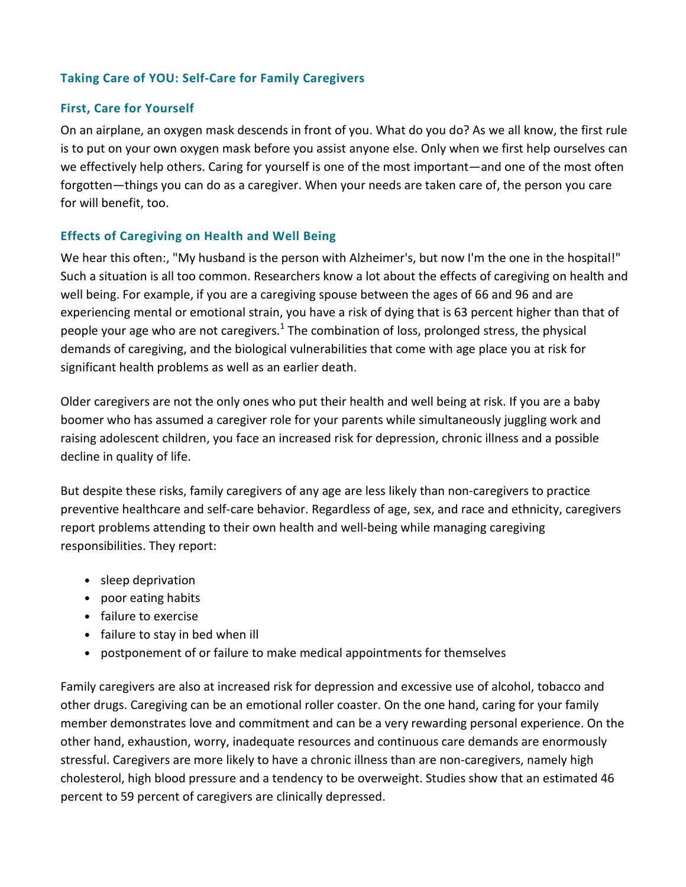### Taking Care of YOU: Self-Care for Family Caregivers

### First, Care for Yourself

On an airplane, an oxygen mask descends in front of you. What do you do? As we all know, the first rule is to put on your own oxygen mask before you assist anyone else. Only when we first help ourselves can we effectively help others. Caring for yourself is one of the most important—and one of the most often forgotten—things you can do as a caregiver. When your needs are taken care of, the person you care for will benefit, too.

### Effects of Caregiving on Health and Well Being

We hear this often:, "My husband is the person with Alzheimer's, but now I'm the one in the hospital!" Such a situation is all too common. Researchers know a lot about the effects of caregiving on health and well being. For example, if you are a caregiving spouse between the ages of 66 and 96 and are experiencing mental or emotional strain, you have a risk of dying that is 63 percent higher than that of people your age who are not caregivers.<sup>1</sup> The combination of loss, prolonged stress, the physical demands of caregiving, and the biological vulnerabilities that come with age place you at risk for significant health problems as well as an earlier death.

Older caregivers are not the only ones who put their health and well being at risk. If you are a baby boomer who has assumed a caregiver role for your parents while simultaneously juggling work and raising adolescent children, you face an increased risk for depression, chronic illness and a possible decline in quality of life.

But despite these risks, family caregivers of any age are less likely than non-caregivers to practice preventive healthcare and self-care behavior. Regardless of age, sex, and race and ethnicity, caregivers report problems attending to their own health and well-being while managing caregiving responsibilities. They report:

- sleep deprivation
- poor eating habits
- failure to exercise
- failure to stay in bed when ill
- postponement of or failure to make medical appointments for themselves

Family caregivers are also at increased risk for depression and excessive use of alcohol, tobacco and other drugs. Caregiving can be an emotional roller coaster. On the one hand, caring for your family member demonstrates love and commitment and can be a very rewarding personal experience. On the other hand, exhaustion, worry, inadequate resources and continuous care demands are enormously stressful. Caregivers are more likely to have a chronic illness than are non-caregivers, namely high cholesterol, high blood pressure and a tendency to be overweight. Studies show that an estimated 46 percent to 59 percent of caregivers are clinically depressed.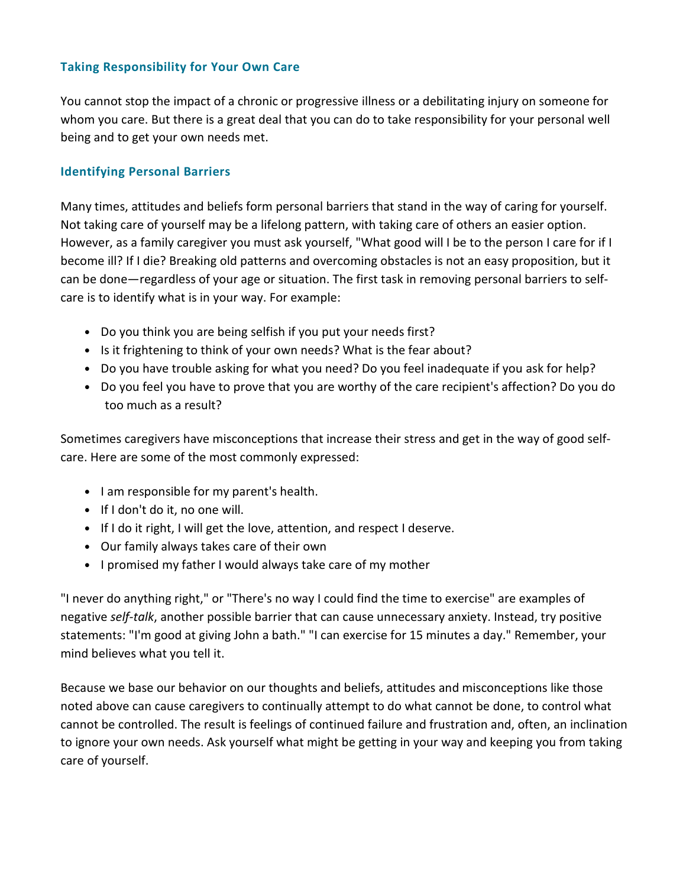#### Taking Responsibility for Your Own Care

You cannot stop the impact of a chronic or progressive illness or a debilitating injury on someone for whom you care. But there is a great deal that you can do to take responsibility for your personal well being and to get your own needs met.

#### Identifying Personal Barriers

Many times, attitudes and beliefs form personal barriers that stand in the way of caring for yourself. Not taking care of yourself may be a lifelong pattern, with taking care of others an easier option. However, as a family caregiver you must ask yourself, "What good will I be to the person I care for if I become ill? If I die? Breaking old patterns and overcoming obstacles is not an easy proposition, but it can be done—regardless of your age or situation. The first task in removing personal barriers to selfcare is to identify what is in your way. For example:

- Do you think you are being selfish if you put your needs first?
- Is it frightening to think of your own needs? What is the fear about?
- Do you have trouble asking for what you need? Do you feel inadequate if you ask for help?
- Do you feel you have to prove that you are worthy of the care recipient's affection? Do you do too much as a result?

Sometimes caregivers have misconceptions that increase their stress and get in the way of good selfcare. Here are some of the most commonly expressed:

- I am responsible for my parent's health.
- If I don't do it, no one will.
- If I do it right, I will get the love, attention, and respect I deserve.
- Our family always takes care of their own
- I promised my father I would always take care of my mother

"I never do anything right," or "There's no way I could find the time to exercise" are examples of negative self-talk, another possible barrier that can cause unnecessary anxiety. Instead, try positive statements: "I'm good at giving John a bath." "I can exercise for 15 minutes a day." Remember, your mind believes what you tell it.

Because we base our behavior on our thoughts and beliefs, attitudes and misconceptions like those noted above can cause caregivers to continually attempt to do what cannot be done, to control what cannot be controlled. The result is feelings of continued failure and frustration and, often, an inclination to ignore your own needs. Ask yourself what might be getting in your way and keeping you from taking care of yourself.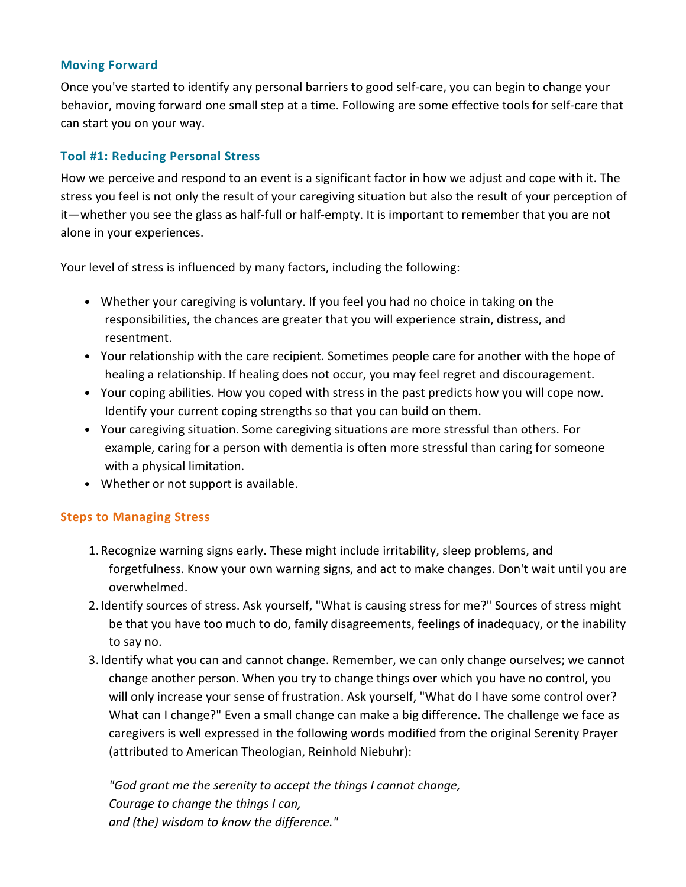#### Moving Forward

Once you've started to identify any personal barriers to good self-care, you can begin to change your behavior, moving forward one small step at a time. Following are some effective tools for self-care that can start you on your way.

### Tool #1: Reducing Personal Stress

How we perceive and respond to an event is a significant factor in how we adjust and cope with it. The stress you feel is not only the result of your caregiving situation but also the result of your perception of it—whether you see the glass as half-full or half-empty. It is important to remember that you are not alone in your experiences.

Your level of stress is influenced by many factors, including the following:

- Whether your caregiving is voluntary. If you feel you had no choice in taking on the responsibilities, the chances are greater that you will experience strain, distress, and resentment.
- Your relationship with the care recipient. Sometimes people care for another with the hope of healing a relationship. If healing does not occur, you may feel regret and discouragement.
- Your coping abilities. How you coped with stress in the past predicts how you will cope now. Identify your current coping strengths so that you can build on them.
- Your caregiving situation. Some caregiving situations are more stressful than others. For example, caring for a person with dementia is often more stressful than caring for someone with a physical limitation.
- Whether or not support is available.

### Steps to Managing Stress

- 1. Recognize warning signs early. These might include irritability, sleep problems, and forgetfulness. Know your own warning signs, and act to make changes. Don't wait until you are overwhelmed.
- 2. Identify sources of stress. Ask yourself, "What is causing stress for me?" Sources of stress might be that you have too much to do, family disagreements, feelings of inadequacy, or the inability to say no.
- 3. Identify what you can and cannot change. Remember, we can only change ourselves; we cannot change another person. When you try to change things over which you have no control, you will only increase your sense of frustration. Ask yourself, "What do I have some control over? What can I change?" Even a small change can make a big difference. The challenge we face as caregivers is well expressed in the following words modified from the original Serenity Prayer (attributed to American Theologian, Reinhold Niebuhr):

"God grant me the serenity to accept the things I cannot change, Courage to change the things I can, and (the) wisdom to know the difference."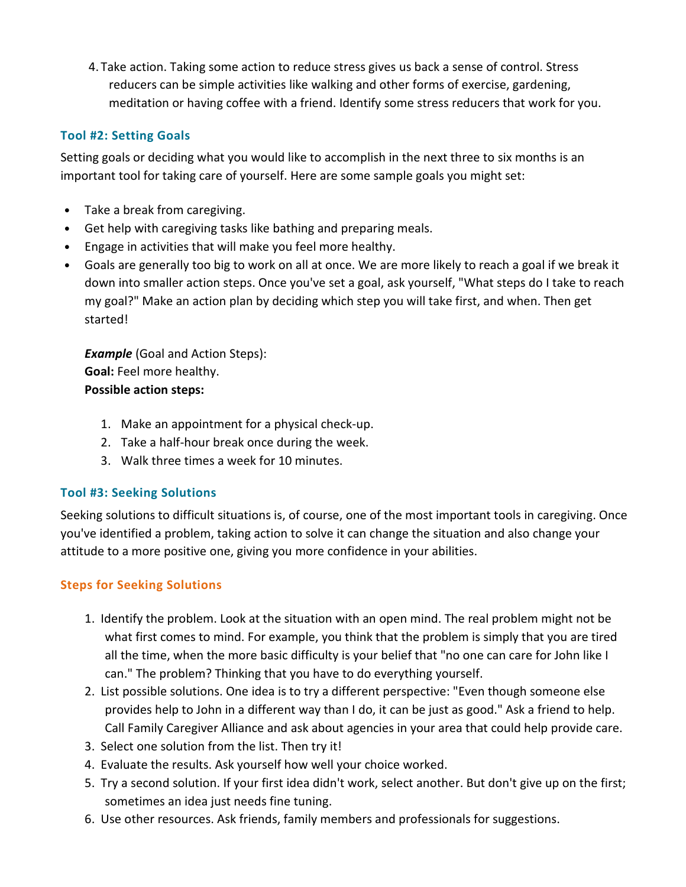4. Take action. Taking some action to reduce stress gives us back a sense of control. Stress reducers can be simple activities like walking and other forms of exercise, gardening, meditation or having coffee with a friend. Identify some stress reducers that work for you.

## Tool #2: Setting Goals

Setting goals or deciding what you would like to accomplish in the next three to six months is an important tool for taking care of yourself. Here are some sample goals you might set:

- Take a break from caregiving.
- Get help with caregiving tasks like bathing and preparing meals.
- Engage in activities that will make you feel more healthy.
- Goals are generally too big to work on all at once. We are more likely to reach a goal if we break it down into smaller action steps. Once you've set a goal, ask yourself, "What steps do I take to reach my goal?" Make an action plan by deciding which step you will take first, and when. Then get started!

**Example** (Goal and Action Steps): Goal: Feel more healthy. Possible action steps:

- 1. Make an appointment for a physical check-up.
- 2. Take a half-hour break once during the week.
- 3. Walk three times a week for 10 minutes.

### Tool #3: Seeking Solutions

Seeking solutions to difficult situations is, of course, one of the most important tools in caregiving. Once you've identified a problem, taking action to solve it can change the situation and also change your attitude to a more positive one, giving you more confidence in your abilities.

# Steps for Seeking Solutions

- 1. Identify the problem. Look at the situation with an open mind. The real problem might not be what first comes to mind. For example, you think that the problem is simply that you are tired all the time, when the more basic difficulty is your belief that "no one can care for John like I can." The problem? Thinking that you have to do everything yourself.
- 2. List possible solutions. One idea is to try a different perspective: "Even though someone else provides help to John in a different way than I do, it can be just as good." Ask a friend to help. Call Family Caregiver Alliance and ask about agencies in your area that could help provide care.
- 3. Select one solution from the list. Then try it!
- 4. Evaluate the results. Ask yourself how well your choice worked.
- 5. Try a second solution. If your first idea didn't work, select another. But don't give up on the first; sometimes an idea just needs fine tuning.
- 6. Use other resources. Ask friends, family members and professionals for suggestions.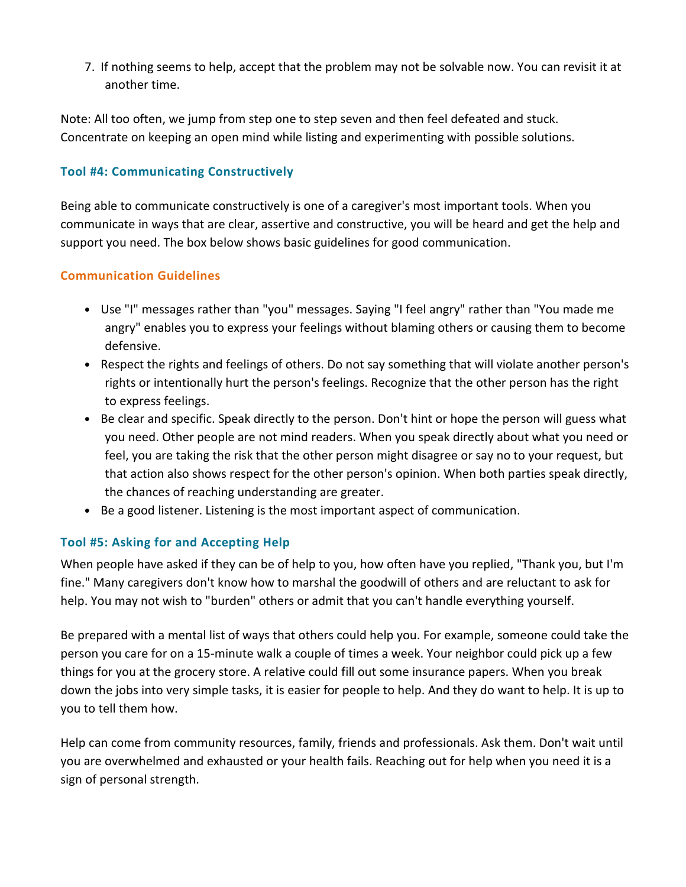7. If nothing seems to help, accept that the problem may not be solvable now. You can revisit it at another time.

Note: All too often, we jump from step one to step seven and then feel defeated and stuck. Concentrate on keeping an open mind while listing and experimenting with possible solutions.

## Tool #4: Communicating Constructively

Being able to communicate constructively is one of a caregiver's most important tools. When you communicate in ways that are clear, assertive and constructive, you will be heard and get the help and support you need. The box below shows basic guidelines for good communication.

## Communication Guidelines

- Use "I" messages rather than "you" messages. Saying "I feel angry" rather than "You made me angry" enables you to express your feelings without blaming others or causing them to become defensive.
- Respect the rights and feelings of others. Do not say something that will violate another person's rights or intentionally hurt the person's feelings. Recognize that the other person has the right to express feelings.
- Be clear and specific. Speak directly to the person. Don't hint or hope the person will guess what you need. Other people are not mind readers. When you speak directly about what you need or feel, you are taking the risk that the other person might disagree or say no to your request, but that action also shows respect for the other person's opinion. When both parties speak directly, the chances of reaching understanding are greater.
- Be a good listener. Listening is the most important aspect of communication.

# Tool #5: Asking for and Accepting Help

When people have asked if they can be of help to you, how often have you replied, "Thank you, but I'm fine." Many caregivers don't know how to marshal the goodwill of others and are reluctant to ask for help. You may not wish to "burden" others or admit that you can't handle everything yourself.

Be prepared with a mental list of ways that others could help you. For example, someone could take the person you care for on a 15-minute walk a couple of times a week. Your neighbor could pick up a few things for you at the grocery store. A relative could fill out some insurance papers. When you break down the jobs into very simple tasks, it is easier for people to help. And they do want to help. It is up to you to tell them how.

Help can come from community resources, family, friends and professionals. Ask them. Don't wait until you are overwhelmed and exhausted or your health fails. Reaching out for help when you need it is a sign of personal strength.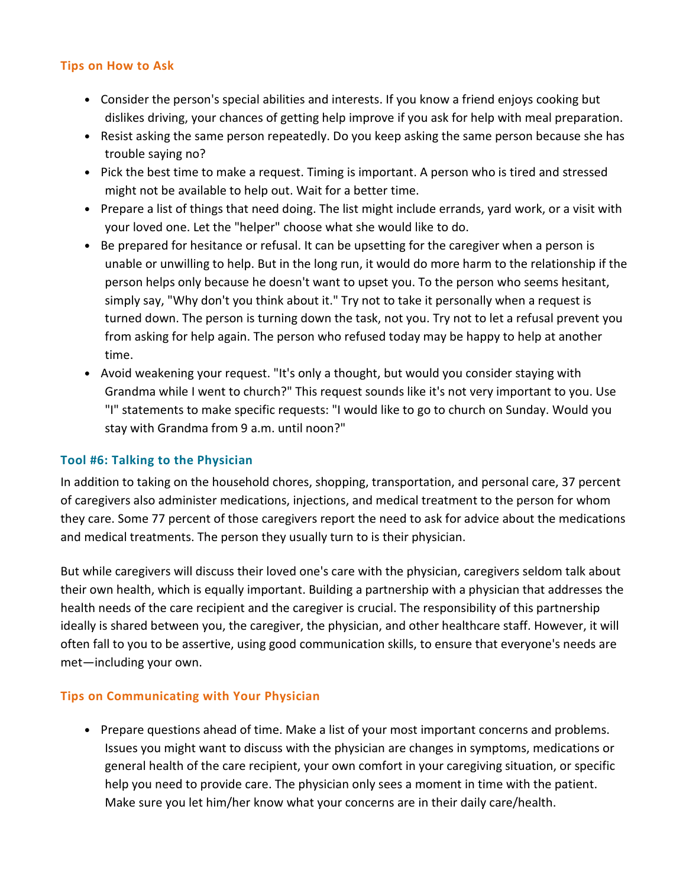### Tips on How to Ask

- Consider the person's special abilities and interests. If you know a friend enjoys cooking but dislikes driving, your chances of getting help improve if you ask for help with meal preparation.
- Resist asking the same person repeatedly. Do you keep asking the same person because she has trouble saying no?
- Pick the best time to make a request. Timing is important. A person who is tired and stressed might not be available to help out. Wait for a better time.
- Prepare a list of things that need doing. The list might include errands, yard work, or a visit with your loved one. Let the "helper" choose what she would like to do.
- Be prepared for hesitance or refusal. It can be upsetting for the caregiver when a person is unable or unwilling to help. But in the long run, it would do more harm to the relationship if the person helps only because he doesn't want to upset you. To the person who seems hesitant, simply say, "Why don't you think about it." Try not to take it personally when a request is turned down. The person is turning down the task, not you. Try not to let a refusal prevent you from asking for help again. The person who refused today may be happy to help at another time.
- Avoid weakening your request. "It's only a thought, but would you consider staying with Grandma while I went to church?" This request sounds like it's not very important to you. Use "I" statements to make specific requests: "I would like to go to church on Sunday. Would you stay with Grandma from 9 a.m. until noon?"

### Tool #6: Talking to the Physician

In addition to taking on the household chores, shopping, transportation, and personal care, 37 percent of caregivers also administer medications, injections, and medical treatment to the person for whom they care. Some 77 percent of those caregivers report the need to ask for advice about the medications and medical treatments. The person they usually turn to is their physician.

But while caregivers will discuss their loved one's care with the physician, caregivers seldom talk about their own health, which is equally important. Building a partnership with a physician that addresses the health needs of the care recipient and the caregiver is crucial. The responsibility of this partnership ideally is shared between you, the caregiver, the physician, and other healthcare staff. However, it will often fall to you to be assertive, using good communication skills, to ensure that everyone's needs are met—including your own.

### Tips on Communicating with Your Physician

• Prepare questions ahead of time. Make a list of your most important concerns and problems. Issues you might want to discuss with the physician are changes in symptoms, medications or general health of the care recipient, your own comfort in your caregiving situation, or specific help you need to provide care. The physician only sees a moment in time with the patient. Make sure you let him/her know what your concerns are in their daily care/health.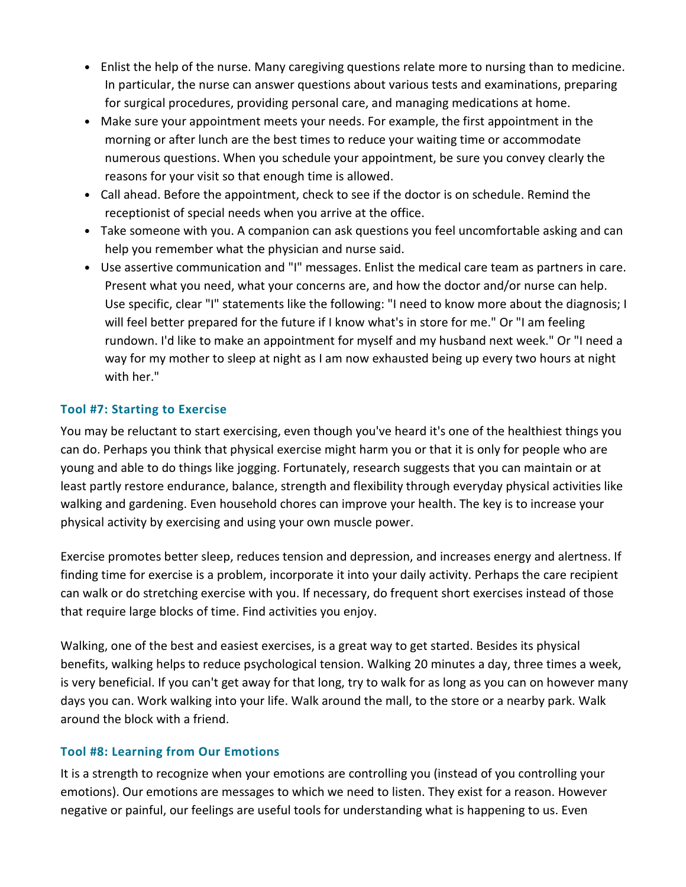- Enlist the help of the nurse. Many caregiving questions relate more to nursing than to medicine. In particular, the nurse can answer questions about various tests and examinations, preparing for surgical procedures, providing personal care, and managing medications at home.
- Make sure your appointment meets your needs. For example, the first appointment in the morning or after lunch are the best times to reduce your waiting time or accommodate numerous questions. When you schedule your appointment, be sure you convey clearly the reasons for your visit so that enough time is allowed.
- Call ahead. Before the appointment, check to see if the doctor is on schedule. Remind the receptionist of special needs when you arrive at the office.
- Take someone with you. A companion can ask questions you feel uncomfortable asking and can help you remember what the physician and nurse said.
- Use assertive communication and "I" messages. Enlist the medical care team as partners in care. Present what you need, what your concerns are, and how the doctor and/or nurse can help. Use specific, clear "I" statements like the following: "I need to know more about the diagnosis; I will feel better prepared for the future if I know what's in store for me." Or "I am feeling rundown. I'd like to make an appointment for myself and my husband next week." Or "I need a way for my mother to sleep at night as I am now exhausted being up every two hours at night with her."

# Tool #7: Starting to Exercise

You may be reluctant to start exercising, even though you've heard it's one of the healthiest things you can do. Perhaps you think that physical exercise might harm you or that it is only for people who are young and able to do things like jogging. Fortunately, research suggests that you can maintain or at least partly restore endurance, balance, strength and flexibility through everyday physical activities like walking and gardening. Even household chores can improve your health. The key is to increase your physical activity by exercising and using your own muscle power.

Exercise promotes better sleep, reduces tension and depression, and increases energy and alertness. If finding time for exercise is a problem, incorporate it into your daily activity. Perhaps the care recipient can walk or do stretching exercise with you. If necessary, do frequent short exercises instead of those that require large blocks of time. Find activities you enjoy.

Walking, one of the best and easiest exercises, is a great way to get started. Besides its physical benefits, walking helps to reduce psychological tension. Walking 20 minutes a day, three times a week, is very beneficial. If you can't get away for that long, try to walk for as long as you can on however many days you can. Work walking into your life. Walk around the mall, to the store or a nearby park. Walk around the block with a friend.

# Tool #8: Learning from Our Emotions

It is a strength to recognize when your emotions are controlling you (instead of you controlling your emotions). Our emotions are messages to which we need to listen. They exist for a reason. However negative or painful, our feelings are useful tools for understanding what is happening to us. Even